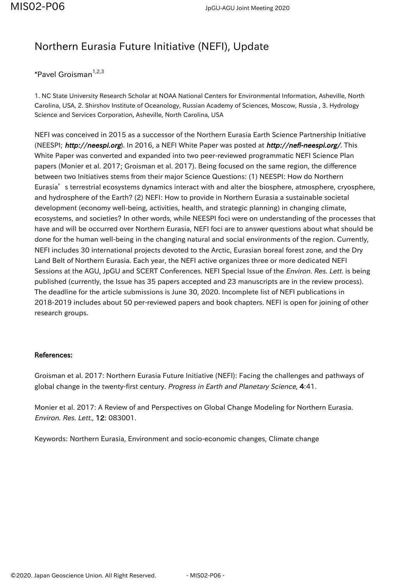## Northern Eurasia Future Initiative (NEFI), Update

\*Pavel Groisman<sup>1,2,3</sup>

1. NC State University Research Scholar at NOAA National Centers for Environmental Information, Asheville, North Carolina, USA, 2. Shirshov Institute of Oceanology, Russian Academy of Sciences, Moscow, Russia , 3. Hydrology Science and Services Corporation, Asheville, North Carolina, USA

NEFI was conceived in 2015 as a successor of the Northern Eurasia Earth Science Partnership Initiative (NEESPI; http://neespi.org). In 2016, a NEFI White Paper was posted at http://nefi-neespi.org/. This White Paper was converted and expanded into two peer-reviewed programmatic NEFI Science Plan papers (Monier et al. 2017; Groisman et al. 2017). Being focused on the same region, the difference between two Initiatives stems from their major Science Questions: (1) NEESPI: How do Northern Eurasia's terrestrial ecosystems dynamics interact with and alter the biosphere, atmosphere, cryosphere, and hydrosphere of the Earth? (2) NEFI: How to provide in Northern Eurasia a sustainable societal development (economy well-being, activities, health, and strategic planning) in changing climate, ecosystems, and societies? In other words, while NEESPI foci were on understanding of the processes that have and will be occurred over Northern Eurasia, NEFI foci are to answer questions about what should be done for the human well-being in the changing natural and social environments of the region. Currently, NEFI includes 30 international projects devoted to the Arctic, Eurasian boreal forest zone, and the Dry Land Belt of Northern Eurasia. Each year, the NEFI active organizes three or more dedicated NEFI Sessions at the AGU, JpGU and SCERT Conferences. NEFI Special Issue of the *Environ. Res. Lett.* is being published (currently, the Issue has 35 papers accepted and 23 manuscripts are in the review process). The deadline for the article submissions is June 30, 2020. Incomplete list of NEFI publications in 2018-2019 includes about 50 per-reviewed papers and book chapters. NEFI is open for joining of other research groups.

## References:

Groisman et al. 2017: Northern Eurasia Future Initiative (NEFI): Facing the challenges and pathways of global change in the twenty-first century. Progress in Earth and Planetary Science, 4:41.

Monier et al. 2017: A Review of and Perspectives on Global Change Modeling for Northern Eurasia. Environ. Res. Lett., 12: 083001.

Keywords: Northern Eurasia, Environment and socio-economic changes, Climate change